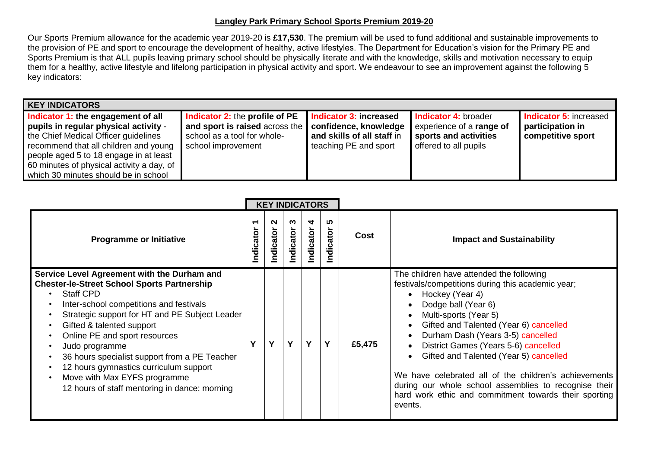## **Langley Park Primary School Sports Premium 2019-20**

Our Sports Premium allowance for the academic year 2019-20 is **£17,530**. The premium will be used to fund additional and sustainable improvements to the provision of PE and sport to encourage the development of healthy, active lifestyles. The Department for Education's vision for the Primary PE and Sports Premium is that ALL pupils leaving primary school should be physically literate and with the knowledge, skills and motivation necessary to equip them for a healthy, active lifestyle and lifelong participation in physical activity and sport. We endeavour to see an improvement against the following 5 key indicators:

| <b>KEY INDICATORS</b>                                                                                                                                                                                                                                                                       |                                                                                                                                                      |                                                                               |                                                                                                    |                                                                        |  |  |  |  |  |  |  |
|---------------------------------------------------------------------------------------------------------------------------------------------------------------------------------------------------------------------------------------------------------------------------------------------|------------------------------------------------------------------------------------------------------------------------------------------------------|-------------------------------------------------------------------------------|----------------------------------------------------------------------------------------------------|------------------------------------------------------------------------|--|--|--|--|--|--|--|
| Indicator 1: the engagement of all<br>pupils in regular physical activity -<br>the Chief Medical Officer guidelines<br>recommend that all children and young<br>people aged 5 to 18 engage in at least<br>60 minutes of physical activity a day, of<br>which 30 minutes should be in school | <b>Indicator 2: the profile of PE</b><br>and sport is raised across the   confidence, knowledge<br>school as a tool for whole-<br>school improvement | Indicator 3: increased<br>and skills of all staff in<br>teaching PE and sport | Indicator 4: broader<br>experience of a range of<br>sports and activities<br>offered to all pupils | <b>Indicator 5: increased</b><br>participation in<br>competitive sport |  |  |  |  |  |  |  |

|                                                                                                                                                                                                                                                                                                                                                                                                                                                                                | <b>KEY INDICATORS</b> |                     |                |                |                   |             |                                                                                                                                                                                                                                                                                                                                                                                                                                                                                                                                      |  |
|--------------------------------------------------------------------------------------------------------------------------------------------------------------------------------------------------------------------------------------------------------------------------------------------------------------------------------------------------------------------------------------------------------------------------------------------------------------------------------|-----------------------|---------------------|----------------|----------------|-------------------|-------------|--------------------------------------------------------------------------------------------------------------------------------------------------------------------------------------------------------------------------------------------------------------------------------------------------------------------------------------------------------------------------------------------------------------------------------------------------------------------------------------------------------------------------------------|--|
| <b>Programme or Initiative</b>                                                                                                                                                                                                                                                                                                                                                                                                                                                 | ᠇<br>Indicator        | $\sim$<br>Indicator | ო<br>Indicator | 4<br>Indicator | ທ<br>dicator<br>⊆ | <b>Cost</b> | <b>Impact and Sustainability</b>                                                                                                                                                                                                                                                                                                                                                                                                                                                                                                     |  |
| Service Level Agreement with the Durham and<br><b>Chester-le-Street School Sports Partnership</b><br><b>Staff CPD</b><br>Inter-school competitions and festivals<br>Strategic support for HT and PE Subject Leader<br>Gifted & talented support<br>Online PE and sport resources<br>Judo programme<br>36 hours specialist support from a PE Teacher<br>12 hours gymnastics curriculum support<br>Move with Max EYFS programme<br>12 hours of staff mentoring in dance: morning |                       | Y                   | Y              | Y              | Y                 | £5,475      | The children have attended the following<br>festivals/competitions during this academic year;<br>Hockey (Year 4)<br>$\bullet$<br>Dodge ball (Year 6)<br>Multi-sports (Year 5)<br>Gifted and Talented (Year 6) cancelled<br>Durham Dash (Years 3-5) cancelled<br>District Games (Years 5-6) cancelled<br>Gifted and Talented (Year 5) cancelled<br>We have celebrated all of the children's achievements<br>during our whole school assemblies to recognise their<br>hard work ethic and commitment towards their sporting<br>events. |  |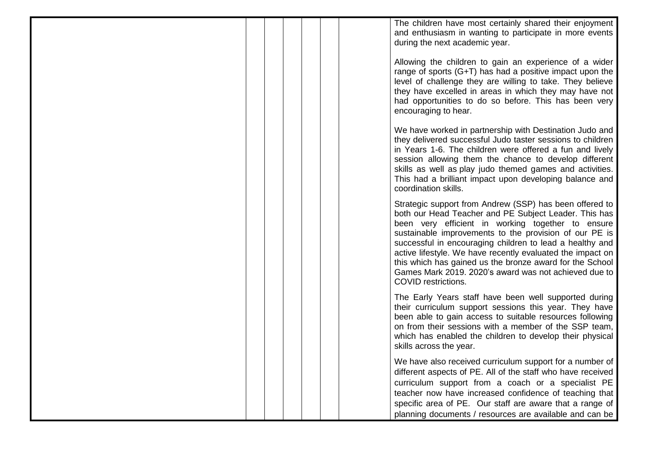The children have most certainly shared their enjoyment and enthusiasm in wanting to participate in more events during the next academic year.

Allowing the children to gain an experience of a wider range of sports (G+T) has had a positive impact upon the level of challenge they are willing to take. They believe they have excelled in areas in which they may have not had opportunities to do so before. This has been very encouraging to hear.

We have worked in partnership with Destination Judo and they delivered successful Judo taster sessions to children in Years 1-6. The children were offered a fun and lively session allowing them the chance to develop different skills as well as play judo themed games and activities. This had a brilliant impact upon developing balance and coordination skills.

Strategic support from Andrew (SSP) has been offered to both our Head Teacher and PE Subject Leader. This has been very efficient in working together to ensure sustainable improvements to the provision of our PE is successful in encouraging children to lead a healthy and active lifestyle. We have recently evaluated the impact on this which has gained us the bronze award for the School Games Mark 2019. 2020's award was not achieved due to COVID restrictions.

The Early Years staff have been well supported during their curriculum support sessions this year. They have been able to gain access to suitable resources following on from their sessions with a member of the SSP team, which has enabled the children to develop their physical skills across the year.

We have also received curriculum support for a number of different aspects of PE. All of the staff who have received curriculum support from a coach or a specialist PE teacher now have increased confidence of teaching that specific area of PE. Our staff are aware that a range of planning documents / resources are available and can be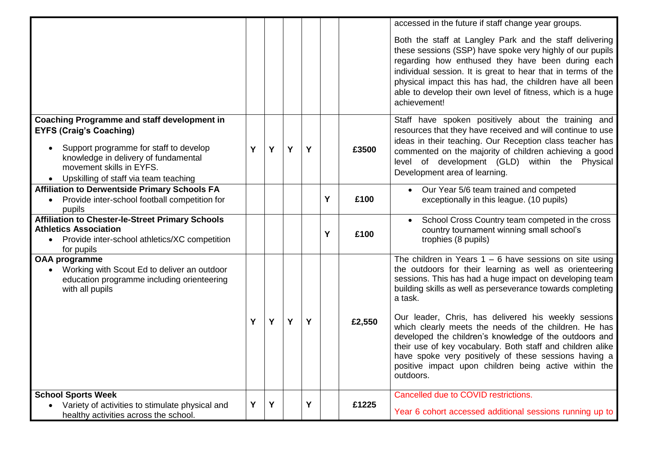|                                                                                                                                                        |   |   |   |   |   |        | accessed in the future if staff change year groups.                                                                                                                                                                                                                                                                                                                                                                                 |
|--------------------------------------------------------------------------------------------------------------------------------------------------------|---|---|---|---|---|--------|-------------------------------------------------------------------------------------------------------------------------------------------------------------------------------------------------------------------------------------------------------------------------------------------------------------------------------------------------------------------------------------------------------------------------------------|
|                                                                                                                                                        |   |   |   |   |   |        | Both the staff at Langley Park and the staff delivering<br>these sessions (SSP) have spoke very highly of our pupils<br>regarding how enthused they have been during each<br>individual session. It is great to hear that in terms of the<br>physical impact this has had, the children have all been<br>able to develop their own level of fitness, which is a huge<br>achievement!                                                |
| <b>Coaching Programme and staff development in</b><br><b>EYFS (Craig's Coaching)</b>                                                                   |   |   |   |   |   |        | Staff have spoken positively about the training and<br>resources that they have received and will continue to use                                                                                                                                                                                                                                                                                                                   |
| Support programme for staff to develop<br>knowledge in delivery of fundamental<br>movement skills in EYFS.<br>Upskilling of staff via team teaching    | Y | Y | Y | Y |   | £3500  | ideas in their teaching. Our Reception class teacher has<br>commented on the majority of children achieving a good<br>level of development (GLD) within the Physical<br>Development area of learning.                                                                                                                                                                                                                               |
| <b>Affiliation to Derwentside Primary Schools FA</b><br>Provide inter-school football competition for<br>$\bullet$<br>pupils                           |   |   |   |   | Y | £100   | Our Year 5/6 team trained and competed<br>$\bullet$<br>exceptionally in this league. (10 pupils)                                                                                                                                                                                                                                                                                                                                    |
| <b>Affiliation to Chester-le-Street Primary Schools</b><br><b>Athletics Association</b><br>Provide inter-school athletics/XC competition<br>for pupils |   |   |   |   | Y | £100   | School Cross Country team competed in the cross<br>country tournament winning small school's<br>trophies (8 pupils)                                                                                                                                                                                                                                                                                                                 |
| <b>OAA programme</b><br>• Working with Scout Ed to deliver an outdoor<br>education programme including orienteering<br>with all pupils                 | Y | Y | Y | Y |   | £2,550 | The children in Years $1 - 6$ have sessions on site using<br>the outdoors for their learning as well as orienteering<br>sessions. This has had a huge impact on developing team<br>building skills as well as perseverance towards completing<br>a task.<br>Our leader, Chris, has delivered his weekly sessions<br>which clearly meets the needs of the children. He has<br>developed the children's knowledge of the outdoors and |
|                                                                                                                                                        |   |   |   |   |   |        | their use of key vocabulary. Both staff and children alike<br>have spoke very positively of these sessions having a<br>positive impact upon children being active within the<br>outdoors.                                                                                                                                                                                                                                           |
| <b>School Sports Week</b><br>Variety of activities to stimulate physical and<br>$\bullet$<br>healthy activities across the school.                     | Υ | Y |   | Y |   | £1225  | Cancelled due to COVID restrictions.<br>Year 6 cohort accessed additional sessions running up to                                                                                                                                                                                                                                                                                                                                    |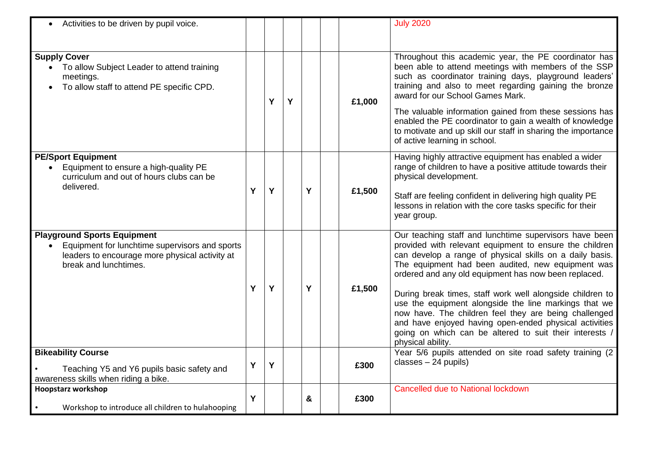| Activities to be driven by pupil voice.                                                                                                                         |   |   |   |   |        | <b>July 2020</b>                                                                                                                                                                                                                                                                                                                                                                                                                                                                                                                                                                                                    |
|-----------------------------------------------------------------------------------------------------------------------------------------------------------------|---|---|---|---|--------|---------------------------------------------------------------------------------------------------------------------------------------------------------------------------------------------------------------------------------------------------------------------------------------------------------------------------------------------------------------------------------------------------------------------------------------------------------------------------------------------------------------------------------------------------------------------------------------------------------------------|
| <b>Supply Cover</b><br>• To allow Subject Leader to attend training<br>meetings.<br>To allow staff to attend PE specific CPD.                                   |   | Y | Y |   | £1,000 | Throughout this academic year, the PE coordinator has<br>been able to attend meetings with members of the SSP<br>such as coordinator training days, playground leaders'<br>training and also to meet regarding gaining the bronze<br>award for our School Games Mark.<br>The valuable information gained from these sessions has<br>enabled the PE coordinator to gain a wealth of knowledge<br>to motivate and up skill our staff in sharing the importance<br>of active learning in school.                                                                                                                       |
| <b>PE/Sport Equipment</b><br>Equipment to ensure a high-quality PE<br>curriculum and out of hours clubs can be<br>delivered.                                    | Y | Y |   | Y | £1,500 | Having highly attractive equipment has enabled a wider<br>range of children to have a positive attitude towards their<br>physical development.<br>Staff are feeling confident in delivering high quality PE<br>lessons in relation with the core tasks specific for their<br>year group.                                                                                                                                                                                                                                                                                                                            |
| <b>Playground Sports Equipment</b><br>Equipment for lunchtime supervisors and sports<br>leaders to encourage more physical activity at<br>break and lunchtimes. | Y | Y |   | Y | £1,500 | Our teaching staff and lunchtime supervisors have been<br>provided with relevant equipment to ensure the children<br>can develop a range of physical skills on a daily basis.<br>The equipment had been audited, new equipment was<br>ordered and any old equipment has now been replaced.<br>During break times, staff work well alongside children to<br>use the equipment alongside the line markings that we<br>now have. The children feel they are being challenged<br>and have enjoyed having open-ended physical activities<br>going on which can be altered to suit their interests /<br>physical ability. |
| <b>Bikeability Course</b><br>Teaching Y5 and Y6 pupils basic safety and<br>awareness skills when riding a bike.                                                 | Y | Y |   |   | £300   | Year 5/6 pupils attended on site road safety training (2<br>$classes - 24$ pupils)                                                                                                                                                                                                                                                                                                                                                                                                                                                                                                                                  |
| <b>Hoopstarz workshop</b><br>Workshop to introduce all children to hulahooping                                                                                  | Y |   |   | & | £300   | <b>Cancelled due to National lockdown</b>                                                                                                                                                                                                                                                                                                                                                                                                                                                                                                                                                                           |